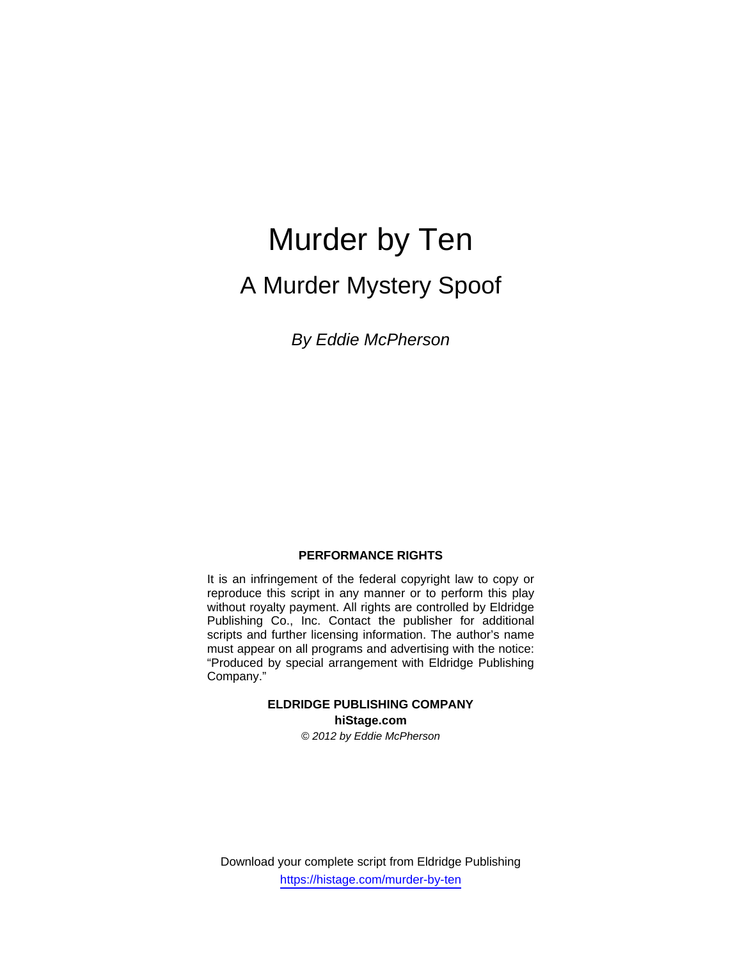# Murder by Ten A Murder Mystery Spoof

*By Eddie McPherson* 

# **PERFORMANCE RIGHTS**

It is an infringement of the federal copyright law to copy or reproduce this script in any manner or to perform this play without royalty payment. All rights are controlled by Eldridge Publishing Co., Inc. Contact the publisher for additional scripts and further licensing information. The author's name must appear on all programs and advertising with the notice: "Produced by special arrangement with Eldridge Publishing Company."

# **ELDRIDGE PUBLISHING COMPANY hiStage.com**

*© 2012 by Eddie McPherson* 

Download your complete script from Eldridge Publishing https://histage.com/murder-by-ten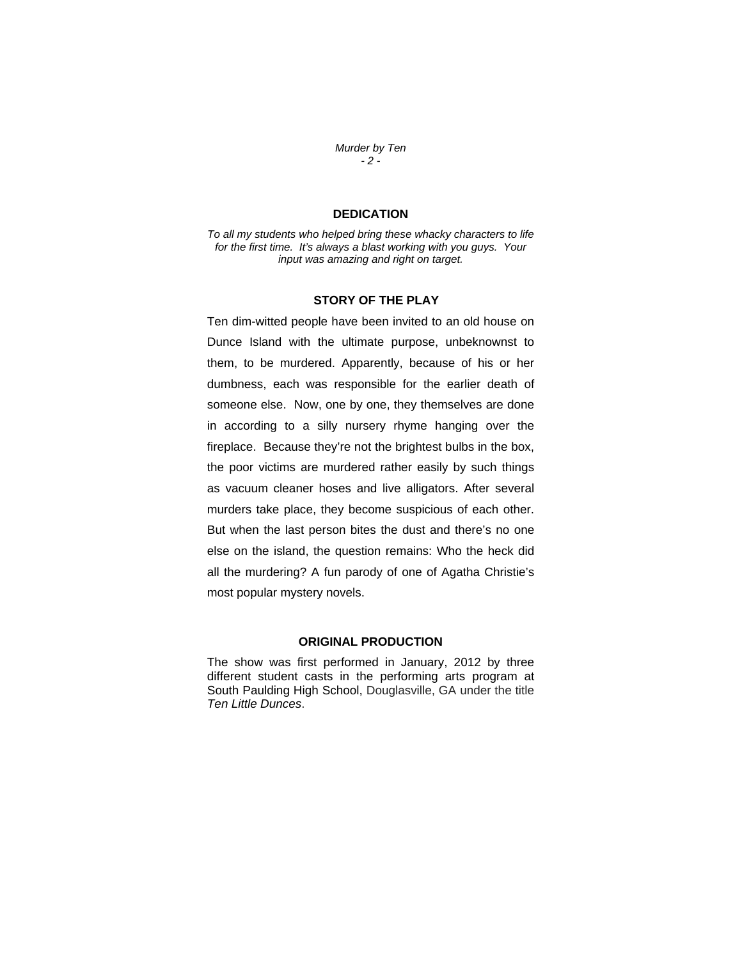*Murder by Ten - 2 -* 

# **DEDICATION**

*To all my students who helped bring these whacky characters to life for the first time. It's always a blast working with you guys. Your input was amazing and right on target.* 

# **STORY OF THE PLAY**

Ten dim-witted people have been invited to an old house on Dunce Island with the ultimate purpose, unbeknownst to them, to be murdered. Apparently, because of his or her dumbness, each was responsible for the earlier death of someone else. Now, one by one, they themselves are done in according to a silly nursery rhyme hanging over the fireplace. Because they're not the brightest bulbs in the box, the poor victims are murdered rather easily by such things as vacuum cleaner hoses and live alligators. After several murders take place, they become suspicious of each other. But when the last person bites the dust and there's no one else on the island, the question remains: Who the heck did all the murdering? A fun parody of one of Agatha Christie's most popular mystery novels.

# **ORIGINAL PRODUCTION**

The show was first performed in January, 2012 by three different student casts in the performing arts program at South Paulding High School, Douglasville, GA under the title *Ten Little Dunces*.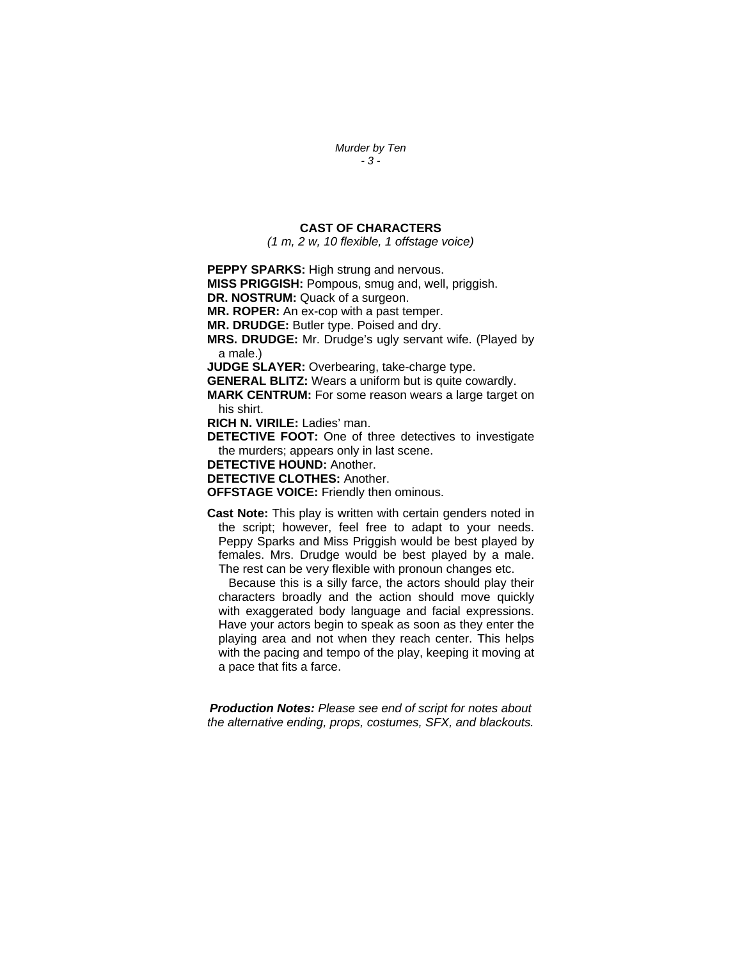#### *Murder by Ten - 3 -*

#### **CAST OF CHARACTERS**

*(1 m, 2 w, 10 flexible, 1 offstage voice)* 

**PEPPY SPARKS: High strung and nervous.** 

**MISS PRIGGISH:** Pompous, smug and, well, priggish.

**DR. NOSTRUM:** Quack of a surgeon.

**MR. ROPER:** An ex-cop with a past temper.

**MR. DRUDGE:** Butler type. Poised and dry.

**MRS. DRUDGE:** Mr. Drudge's ugly servant wife. (Played by a male.)

**JUDGE SLAYER:** Overbearing, take-charge type.

**GENERAL BLITZ:** Wears a uniform but is quite cowardly.

**MARK CENTRUM:** For some reason wears a large target on his shirt.

**RICH N. VIRILE:** Ladies' man.

**DETECTIVE FOOT:** One of three detectives to investigate the murders; appears only in last scene.

**DETECTIVE HOUND:** Another.

**DETECTIVE CLOTHES:** Another.

**OFFSTAGE VOICE:** Friendly then ominous.

**Cast Note:** This play is written with certain genders noted in the script; however, feel free to adapt to your needs. Peppy Sparks and Miss Priggish would be best played by females. Mrs. Drudge would be best played by a male. The rest can be very flexible with pronoun changes etc.

Because this is a silly farce, the actors should play their characters broadly and the action should move quickly with exaggerated body language and facial expressions. Have your actors begin to speak as soon as they enter the playing area and not when they reach center. This helps with the pacing and tempo of the play, keeping it moving at a pace that fits a farce.

*Production Notes: Please see end of script for notes about the alternative ending, props, costumes, SFX, and blackouts.*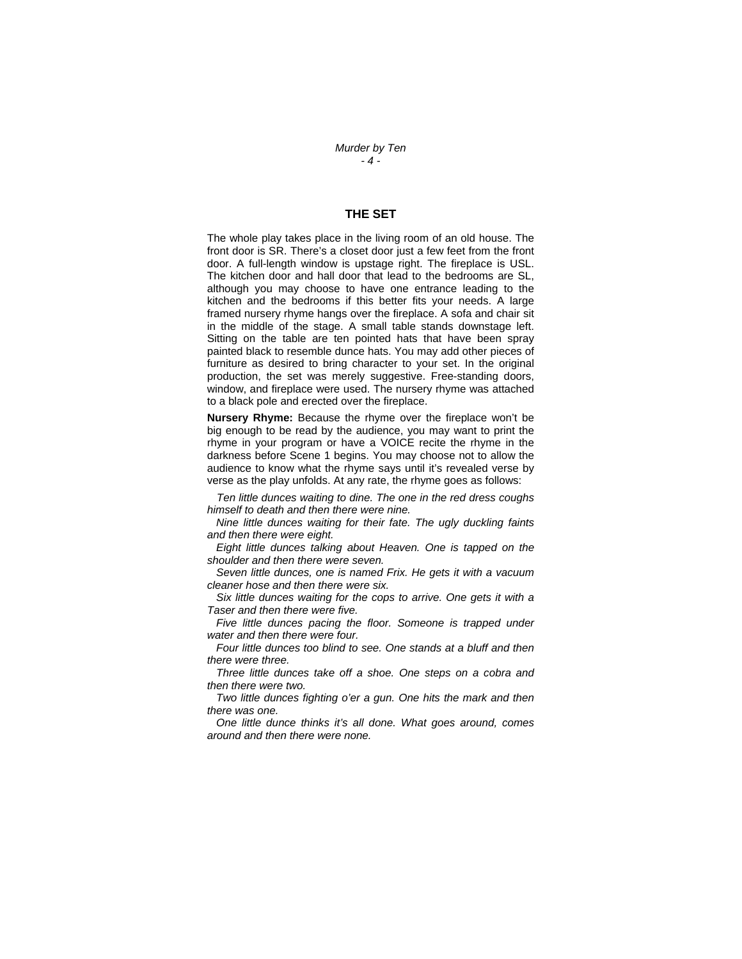*Murder by Ten - 4 -* 

### **THE SET**

The whole play takes place in the living room of an old house. The front door is SR. There's a closet door just a few feet from the front door. A full-length window is upstage right. The fireplace is USL. The kitchen door and hall door that lead to the bedrooms are SL, although you may choose to have one entrance leading to the kitchen and the bedrooms if this better fits your needs. A large framed nursery rhyme hangs over the fireplace. A sofa and chair sit in the middle of the stage. A small table stands downstage left. Sitting on the table are ten pointed hats that have been spray painted black to resemble dunce hats. You may add other pieces of furniture as desired to bring character to your set. In the original production, the set was merely suggestive. Free-standing doors, window, and fireplace were used. The nursery rhyme was attached to a black pole and erected over the fireplace.

**Nursery Rhyme:** Because the rhyme over the fireplace won't be big enough to be read by the audience, you may want to print the rhyme in your program or have a VOICE recite the rhyme in the darkness before Scene 1 begins. You may choose not to allow the audience to know what the rhyme says until it's revealed verse by verse as the play unfolds. At any rate, the rhyme goes as follows:

*Ten little dunces waiting to dine. The one in the red dress coughs himself to death and then there were nine.* 

 *Nine little dunces waiting for their fate. The ugly duckling faints and then there were eight.* 

 *Eight little dunces talking about Heaven. One is tapped on the shoulder and then there were seven.* 

 *Seven little dunces, one is named Frix. He gets it with a vacuum cleaner hose and then there were six.* 

 *Six little dunces waiting for the cops to arrive. One gets it with a Taser and then there were five.* 

Five little dunces pacing the floor. Someone is trapped under *water and then there were four.* 

 *Four little dunces too blind to see. One stands at a bluff and then there were three.* 

 *Three little dunces take off a shoe. One steps on a cobra and then there were two.* 

 *Two little dunces fighting o'er a gun. One hits the mark and then there was one.* 

 *One little dunce thinks it's all done. What goes around, comes around and then there were none.*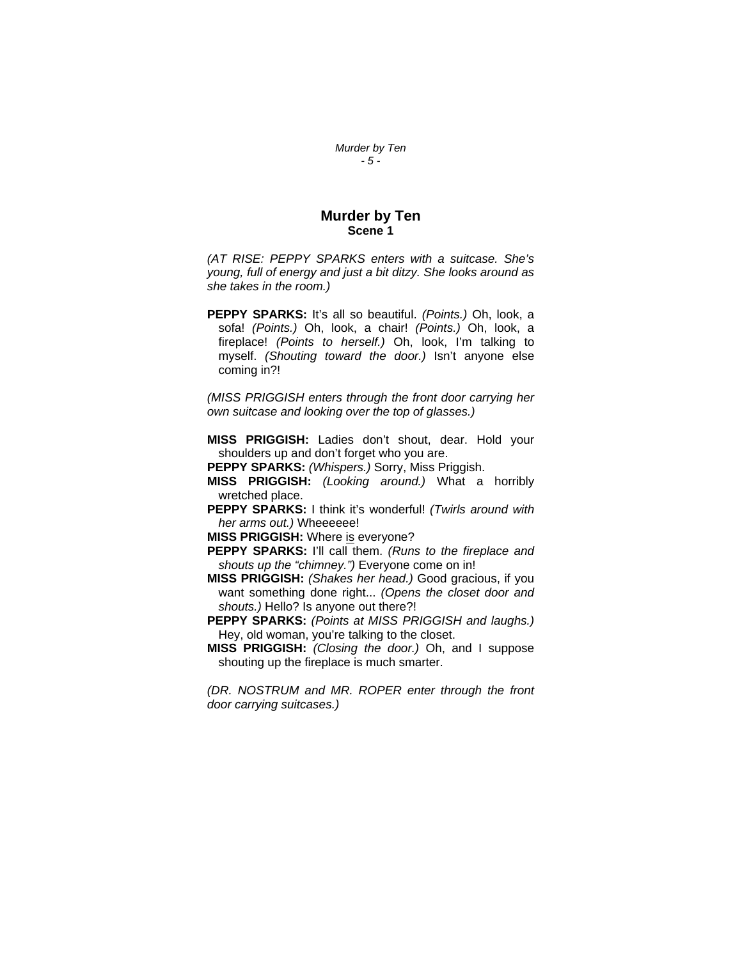#### *Murder by Ten - 5 -*

# **Murder by Ten Scene 1**

*(AT RISE: PEPPY SPARKS enters with a suitcase. She's young, full of energy and just a bit ditzy. She looks around as she takes in the room.)* 

**PEPPY SPARKS:** It's all so beautiful. *(Points.)* Oh, look, a sofa! *(Points.)* Oh, look, a chair! *(Points.)* Oh, look, a fireplace! *(Points to herself.)* Oh, look, I'm talking to myself. *(Shouting toward the door.)* Isn't anyone else coming in?!

*(MISS PRIGGISH enters through the front door carrying her own suitcase and looking over the top of glasses.)*

- **MISS PRIGGISH:** Ladies don't shout, dear. Hold your shoulders up and don't forget who you are.
- **PEPPY SPARKS:** *(Whispers.)* Sorry, Miss Priggish.
- **MISS PRIGGISH:** *(Looking around.)* What a horribly wretched place.
- **PEPPY SPARKS:** I think it's wonderful! *(Twirls around with her arms out.)* Wheeeeee!

**MISS PRIGGISH:** Where is everyone?

- **PEPPY SPARKS:** I'll call them. *(Runs to the fireplace and shouts up the "chimney.")* Everyone come on in!
- **MISS PRIGGISH:** *(Shakes her head.)* Good gracious, if you want something done right... *(Opens the closet door and shouts.)* Hello? Is anyone out there?!
- **PEPPY SPARKS:** *(Points at MISS PRIGGISH and laughs.)* Hey, old woman, you're talking to the closet.
- **MISS PRIGGISH:** *(Closing the door.)* Oh, and I suppose shouting up the fireplace is much smarter.

*(DR. NOSTRUM and MR. ROPER enter through the front door carrying suitcases.)*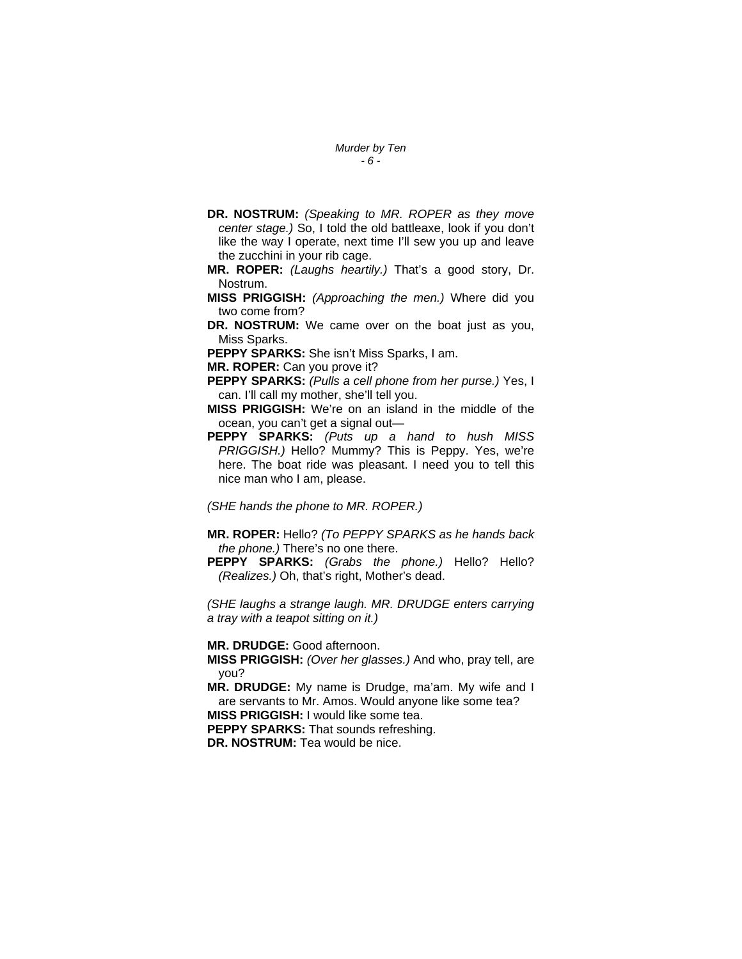#### *Murder by Ten - 6 -*

- **DR. NOSTRUM:** *(Speaking to MR. ROPER as they move center stage.)* So, I told the old battleaxe, look if you don't like the way I operate, next time I'll sew you up and leave the zucchini in your rib cage.
- **MR. ROPER:** *(Laughs heartily.)* That's a good story, Dr. Nostrum.
- **MISS PRIGGISH:** *(Approaching the men.)* Where did you two come from?
- **DR. NOSTRUM:** We came over on the boat just as you, Miss Sparks.
- **PEPPY SPARKS:** She isn't Miss Sparks, I am.
- **MR. ROPER:** Can you prove it?
- **PEPPY SPARKS:** *(Pulls a cell phone from her purse.)* Yes, I can. I'll call my mother, she'll tell you.
- **MISS PRIGGISH:** We're on an island in the middle of the ocean, you can't get a signal out—
- **PEPPY SPARKS:** *(Puts up a hand to hush MISS PRIGGISH.)* Hello? Mummy? This is Peppy. Yes, we're here. The boat ride was pleasant. I need you to tell this nice man who I am, please.

*(SHE hands the phone to MR. ROPER.)* 

- **MR. ROPER:** Hello? *(To PEPPY SPARKS as he hands back the phone.)* There's no one there.
- **PEPPY SPARKS:** *(Grabs the phone.)* Hello? Hello? *(Realizes.)* Oh, that's right, Mother's dead.

*(SHE laughs a strange laugh. MR. DRUDGE enters carrying a tray with a teapot sitting on it.)* 

**MR. DRUDGE:** Good afternoon.

**MISS PRIGGISH:** *(Over her glasses.)* And who, pray tell, are you?

**MR. DRUDGE:** My name is Drudge, ma'am. My wife and I are servants to Mr. Amos. Would anyone like some tea? **MISS PRIGGISH:** I would like some tea.

**PEPPY SPARKS:** That sounds refreshing.

**DR. NOSTRUM:** Tea would be nice.